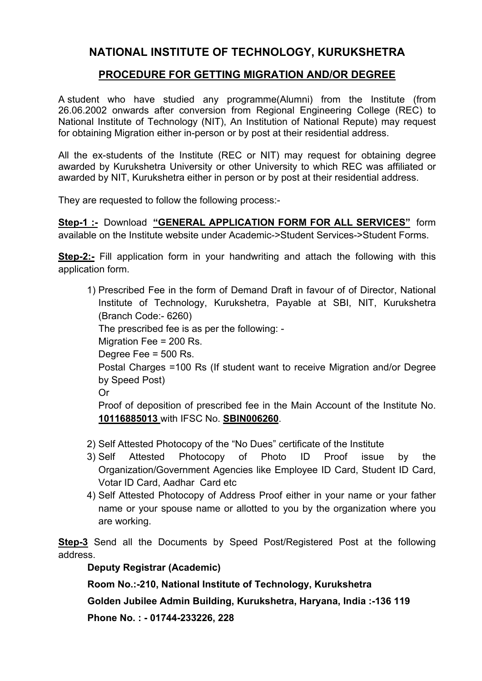## **NATIONAL INSTITUTE OF TECHNOLOGY, KURUKSHETRA**

## **PROCEDURE FOR GETTING MIGRATION AND/OR DEGREE**

A student who have studied any programme(Alumni) from the Institute (from 26.06.2002 onwards after conversion from Regional Engineering College (REC) to National Institute of Technology (NIT), An Institution of National Repute) may request for obtaining Migration either in-person or by post at their residential address.

All the ex-students of the Institute (REC or NIT) may request for obtaining degree awarded by Kurukshetra University or other University to which REC was affiliated or awarded by NIT, Kurukshetra either in person or by post at their residential address.

They are requested to follow the following process:-

**Step-1 :-** Download **"GENERAL APPLICATION FORM FOR ALL SERVICES"** form available on the Institute website under Academic->Student Services->Student Forms.

**Step-2:-** Fill application form in your handwriting and attach the following with this application form.

- 1) Prescribed Fee in the form of Demand Draft in favour of of Director, National Institute of Technology, Kurukshetra, Payable at SBI, NIT, Kurukshetra (Branch Code:- 6260) The prescribed fee is as per the following: - Migration Fee = 200 Rs. Degree Fee = 500 Rs. Postal Charges =100 Rs (If student want to receive Migration and/or Degree by Speed Post) Or Proof of deposition of prescribed fee in the Main Account of the Institute No. **10116885013** with IFSC No. **SBIN006260**.
- 2) Self Attested Photocopy of the "No Dues" certificate of the Institute
- 3) Self Attested Photocopy of Photo ID Proof issue by the Organization/Government Agencies like Employee ID Card, Student ID Card, Votar ID Card, Aadhar Card etc
- 4) Self Attested Photocopy of Address Proof either in your name or your father name or your spouse name or allotted to you by the organization where you are working.

**Step-3** Send all the Documents by Speed Post/Registered Post at the following address.

**Deputy Registrar (Academic)** 

**Room No.:-210, National Institute of Technology, Kurukshetra** 

**Golden Jubilee Admin Building, Kurukshetra, Haryana, India :-136 119** 

**Phone No. : - 01744-233226, 228**